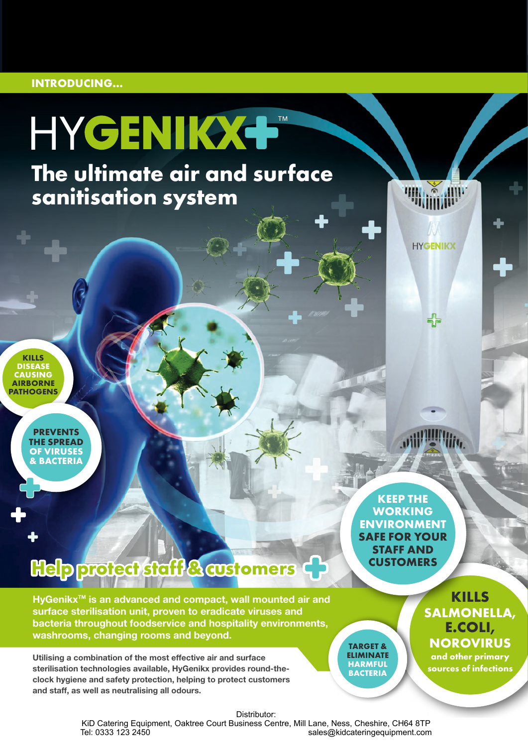#### **INTRODUCING...**

# HYGENIKX+

**The ultimate air and surface sanitisation system**

**HYGENIKX** 

**KILLS DISEASE CAUSING AIRBORNE PATHOGENS**

> **PREVENTS THE SPREAD OF VIRUSES & BACTERIA**

> > **KEEP THE WORKING ENVIRONMENT SAFE FOR YOUR STAFF AND CUSTOMERS**

**TARGET & ELIMINATE HARMFUL BACTERIA**

## **Help protect staff & customers**

HyGenikx<sup>™</sup> is an advanced and compact, wall mounted air and surface sterilisation unit, proven to eradicate viruses and bacteria throughout foodservice and hospitality environments, washrooms, changing rooms and beyond.

Utilising a combination of the most effective air and surface sterilisation technologies available, HyGenikx provides round-theclock hygiene and safety protection, helping to protect customers and staff, as well as neutralising all odours.

Distributor:

KiD Catering Equipment, Oaktree Court Business Centre, Mill Lane, Ness, Cheshire, CH64 8TP<br>sales@kidcateringequipment.com sales@kidcateringequipment.com

**KILLS SALMONELLA, E.COLI, NOROVIRUS**

**and other primary sources of infections**